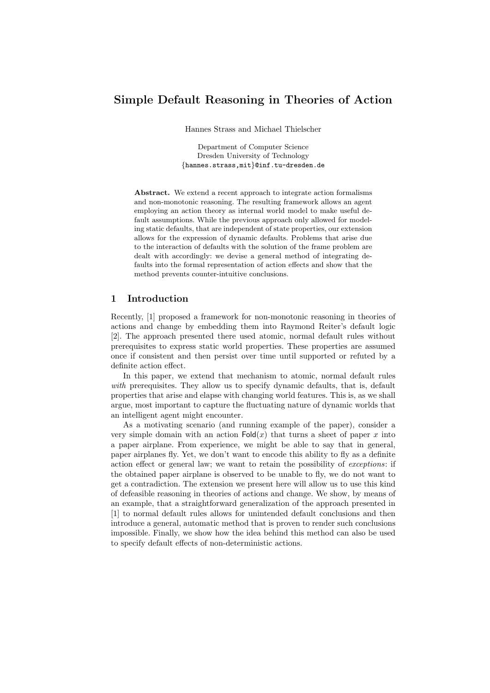# Simple Default Reasoning in Theories of Action

Hannes Strass and Michael Thielscher

Department of Computer Science Dresden University of Technology {hannes.strass,mit}@inf.tu-dresden.de

Abstract. We extend a recent approach to integrate action formalisms and non-monotonic reasoning. The resulting framework allows an agent employing an action theory as internal world model to make useful default assumptions. While the previous approach only allowed for modeling static defaults, that are independent of state properties, our extension allows for the expression of dynamic defaults. Problems that arise due to the interaction of defaults with the solution of the frame problem are dealt with accordingly: we devise a general method of integrating defaults into the formal representation of action effects and show that the method prevents counter-intuitive conclusions.

### 1 Introduction

Recently, [1] proposed a framework for non-monotonic reasoning in theories of actions and change by embedding them into Raymond Reiter's default logic [2]. The approach presented there used atomic, normal default rules without prerequisites to express static world properties. These properties are assumed once if consistent and then persist over time until supported or refuted by a definite action effect.

In this paper, we extend that mechanism to atomic, normal default rules with prerequisites. They allow us to specify dynamic defaults, that is, default properties that arise and elapse with changing world features. This is, as we shall argue, most important to capture the fluctuating nature of dynamic worlds that an intelligent agent might encounter.

As a motivating scenario (and running example of the paper), consider a very simple domain with an action  $\text{Fold}(x)$  that turns a sheet of paper x into a paper airplane. From experience, we might be able to say that in general, paper airplanes fly. Yet, we don't want to encode this ability to fly as a definite action effect or general law; we want to retain the possibility of exceptions: if the obtained paper airplane is observed to be unable to fly, we do not want to get a contradiction. The extension we present here will allow us to use this kind of defeasible reasoning in theories of actions and change. We show, by means of an example, that a straightforward generalization of the approach presented in [1] to normal default rules allows for unintended default conclusions and then introduce a general, automatic method that is proven to render such conclusions impossible. Finally, we show how the idea behind this method can also be used to specify default effects of non-deterministic actions.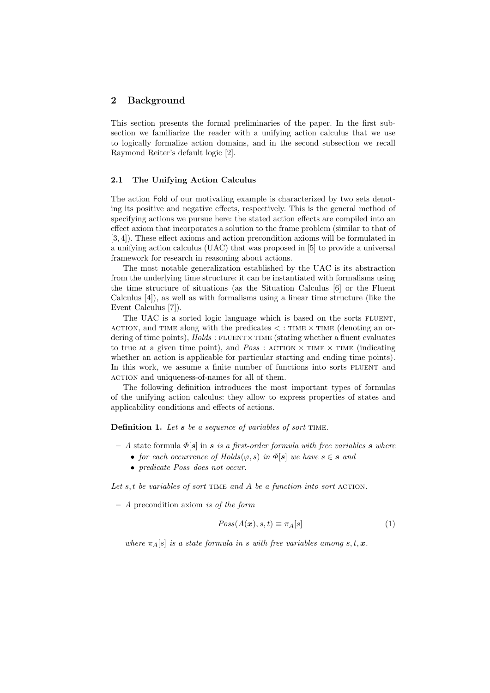## 2 Background

This section presents the formal preliminaries of the paper. In the first subsection we familiarize the reader with a unifying action calculus that we use to logically formalize action domains, and in the second subsection we recall Raymond Reiter's default logic [2].

### 2.1 The Unifying Action Calculus

The action Fold of our motivating example is characterized by two sets denoting its positive and negative effects, respectively. This is the general method of specifying actions we pursue here: the stated action effects are compiled into an effect axiom that incorporates a solution to the frame problem (similar to that of [3, 4]). These effect axioms and action precondition axioms will be formulated in a unifying action calculus (UAC) that was proposed in [5] to provide a universal framework for research in reasoning about actions.

The most notable generalization established by the UAC is its abstraction from the underlying time structure: it can be instantiated with formalisms using the time structure of situations (as the Situation Calculus [6] or the Fluent Calculus [4]), as well as with formalisms using a linear time structure (like the Event Calculus [7]).

The UAC is a sorted logic language which is based on the sorts FLUENT, ACTION, and TIME along with the predicates  $\lt$ : TIME  $\times$  TIME (denoting an ordering of time points),  $Holds: FLUENT \times TIME$  (stating whether a fluent evaluates to true at a given time point), and  $Poss:$  ACTION  $\times$  TIME  $\times$  TIME (indicating whether an action is applicable for particular starting and ending time points). In this work, we assume a finite number of functions into sorts FLUENT and action and uniqueness-of-names for all of them.

The following definition introduces the most important types of formulas of the unifying action calculus: they allow to express properties of states and applicability conditions and effects of actions.

**Definition 1.** Let  $s$  be a sequence of variables of sort TIME.

- A state formula  $\Phi[s]$  in s is a first-order formula with free variables s where
	- for each occurrence of  $Holds(\varphi, s)$  in  $\Phi[s]$  we have  $s \in s$  and
	- predicate Poss does not occur.

Let  $s, t$  be variables of sort TIME and  $A$  be a function into sort ACTION.

 $- A$  precondition axiom is of the form

$$
Poss(A(\boldsymbol{x}), s, t) \equiv \pi_A[s] \tag{1}
$$

where  $\pi_A[s]$  is a state formula in s with free variables among s, t, x.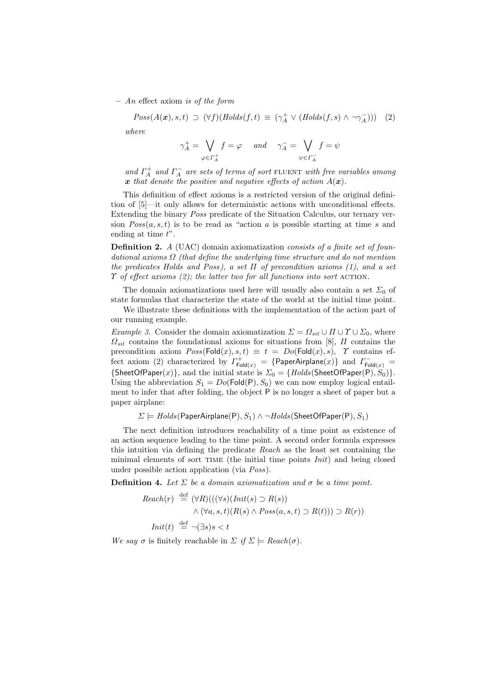– An effect axiom is of the form

 $Poss(A(\boldsymbol{x}), s, t) \supset (\forall f)(Holds(f, t) \equiv (\gamma_A^+ \vee (Holds(f, s) \wedge \neg \gamma_A^-)))$  (2) where

$$
\gamma_A^+ = \bigvee_{\varphi \in \varGamma_A^+} f = \varphi \quad \text{ and } \quad \gamma_A^- = \bigvee_{\psi \in \varGamma_A^-} f = \psi
$$

and  $\Gamma_A^+$  and  $\Gamma_A^-$  are sets of terms of sort FLUENT with free variables among x that denote the positive and negative effects of action  $A(x)$ .

This definition of effect axioms is a restricted version of the original definition of [5]—it only allows for deterministic actions with unconditional effects. Extending the binary Poss predicate of the Situation Calculus, our ternary version  $Poss(a, s, t)$  is to be read as "action a is possible starting at time s and ending at time  $t$ ".

**Definition 2.** A (UAC) domain axiomatization consists of a finite set of foundational axioms Ω (that define the underlying time structure and do not mention the predicates Holds and Poss), a set  $\Pi$  of precondition axioms (1), and a set  $\Upsilon$  of effect axioms (2); the latter two for all functions into sort ACTION.

The domain axiomatizations used here will usually also contain a set  $\Sigma_0$  of state formulas that characterize the state of the world at the initial time point.

We illustrate these definitions with the implementation of the action part of our running example.

Example 3. Consider the domain axiomatization  $\Sigma = \Omega_{sit} \cup \Pi \cup \Upsilon \cup \Sigma_0$ , where  $\Omega_{sit}$  contains the foundational axioms for situations from [8],  $\Pi$  contains the precondition axiom  $Poss(Fold(x), s, t) \equiv t = Do(Fold(x), s)$ , *T* contains effect axiom (2) characterized by  $\Gamma^+_{\text{Fold}(x)} = {\text{PaperAirplane}(x)}$  and  $\Gamma^-_{\text{Fold}(x)} =$ {SheetOfPaper(x)}, and the initial state is  $\Sigma_0 = \{Holds(\text{SheetOfPaper(P)}, S_0)\}.$ Using the abbreviation  $S_1 = Do(Fold(P), S_0)$  we can now employ logical entailment to infer that after folding, the object P is no longer a sheet of paper but a paper airplane:

 $\Sigma \models$  Holds(PaperAirplane(P),  $S_1$ )  $\wedge \neg$ Holds(SheetOfPaper(P),  $S_1$ )

The next definition introduces reachability of a time point as existence of an action sequence leading to the time point. A second order formula expresses this intuition via defining the predicate Reach as the least set containing the minimal elements of sort TIME (the initial time points  $Init$ ) and being closed under possible action application (via Poss).

**Definition 4.** Let  $\Sigma$  be a domain axiomatization and  $\sigma$  be a time point.

$$
Reach(r) \stackrel{\text{def}}{=} (\forall R)(( (\forall s)(Init(s) \supset R(s))
$$
  
 
$$
\land (\forall a, s, t)(R(s) \land Poss(a, s, t) \supset R(t))) \supset R(r))
$$
  

$$
Init(t) \stackrel{\text{def}}{=} \neg (\exists s)s < t
$$

We say  $\sigma$  is finitely reachable in  $\Sigma$  if  $\Sigma \models$  Reach( $\sigma$ ).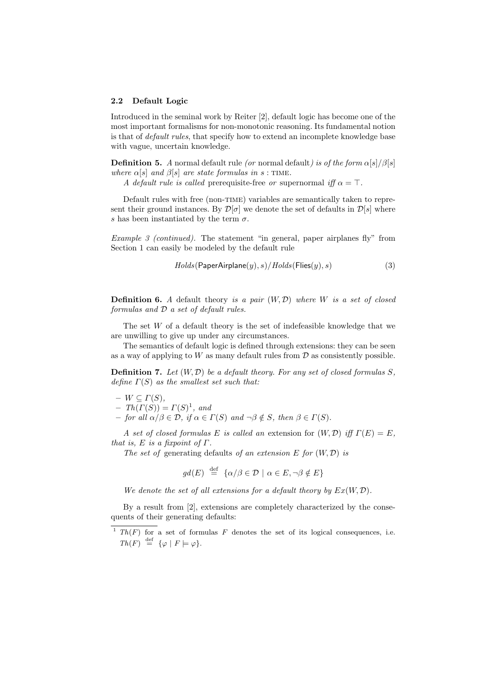#### 2.2 Default Logic

Introduced in the seminal work by Reiter [2], default logic has become one of the most important formalisms for non-monotonic reasoning. Its fundamental notion is that of default rules, that specify how to extend an incomplete knowledge base with vague, uncertain knowledge.

**Definition 5.** A normal default rule (or normal default) is of the form  $\alpha[s]/\beta[s]$ where  $\alpha[s]$  and  $\beta[s]$  are state formulas in s : TIME.

A default rule is called prerequisite-free or supernormal iff  $\alpha = \top$ .

Default rules with free (non-TIME) variables are semantically taken to represent their ground instances. By  $\mathcal{D}[\sigma]$  we denote the set of defaults in  $\mathcal{D}[s]$  where s has been instantiated by the term  $\sigma$ .

Example 3 (continued). The statement "in general, paper airplanes fly" from Section 1 can easily be modeled by the default rule

$$
Holds(\mathsf{PaperAirplane}(y),s)/Holds(\mathsf{Files}(y),s) \tag{3}
$$

**Definition 6.** A default theory is a pair  $(W, \mathcal{D})$  where W is a set of closed formulas and D a set of default rules.

The set  $W$  of a default theory is the set of indefeasible knowledge that we are unwilling to give up under any circumstances.

The semantics of default logic is defined through extensions: they can be seen as a way of applying to  $W$  as many default rules from  $D$  as consistently possible.

**Definition 7.** Let  $(W, \mathcal{D})$  be a default theory. For any set of closed formulas S, define  $\Gamma(S)$  as the smallest set such that:

 $- W \subseteq \Gamma(S)$ ,

$$
- Th(\Gamma(S)) = \Gamma(S)^1, and
$$

 $-$  for all  $\alpha/\beta \in \mathcal{D}$ , if  $\alpha \in \Gamma(S)$  and  $\neg \beta \notin S$ , then  $\beta \in \Gamma(S)$ .

A set of closed formulas E is called an extension for  $(W, \mathcal{D})$  iff  $\Gamma(E) = E$ , that is, E is a fixpoint of  $\Gamma$ .

The set of generating defaults of an extension  $E$  for  $(W, \mathcal{D})$  is

 $gd(E) \stackrel{\text{def}}{=} {\alpha/\beta \in \mathcal{D} \mid \alpha \in E, \neg \beta \notin E}$ 

We denote the set of all extensions for a default theory by  $Ex(W, \mathcal{D})$ .

By a result from [2], extensions are completely characterized by the consequents of their generating defaults:

<sup>1</sup>  $Th(F)$  for a set of formulas F denotes the set of its logical consequences, i.e.  $Th(F) \stackrel{\text{def}}{=} {\varphi \mid F \models \varphi}.$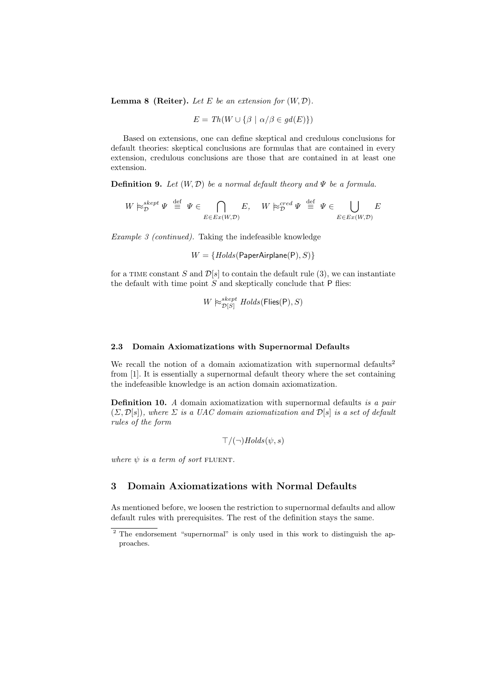**Lemma 8 (Reiter).** Let E be an extension for  $(W, \mathcal{D})$ .

$$
E = Th(W \cup \{\beta \mid \alpha/\beta \in gd(E)\})
$$

Based on extensions, one can define skeptical and credulous conclusions for default theories: skeptical conclusions are formulas that are contained in every extension, credulous conclusions are those that are contained in at least one extension.

**Definition 9.** Let  $(W, \mathcal{D})$  be a normal default theory and  $\Psi$  be a formula.

$$
W \succcurlyeq_{\mathcal{D}}^{skept} \Psi \stackrel{\text{def}}{=} \Psi \in \bigcap_{E \in Ex(W,\mathcal{D})} E, \quad W \succcurlyeq_{\mathcal{D}}^{cred} \Psi \stackrel{\text{def}}{=} \Psi \in \bigcup_{E \in Ex(W,\mathcal{D})} E
$$

Example 3 (continued). Taking the indefeasible knowledge

 $W = \{Holds(\text{PaperAirplane}(P), S)\}$ 

for a TIME constant S and  $\mathcal{D}[s]$  to contain the default rule (3), we can instantiate the default with time point  $S$  and skeptically conclude that  $P$  flies:

$$
W \approx_{\mathcal{D}[S]}^{skept} Holds(\text{Flies}(P), S)
$$

### 2.3 Domain Axiomatizations with Supernormal Defaults

We recall the notion of a domain axiomatization with supernormal defaults<sup>2</sup> from [1]. It is essentially a supernormal default theory where the set containing the indefeasible knowledge is an action domain axiomatization.

Definition 10. A domain axiomatization with supernormal defaults is a pair  $(\Sigma, \mathcal{D}[s])$ , where  $\Sigma$  is a UAC domain axiomatization and  $\mathcal{D}[s]$  is a set of default rules of the form

 $\top/(\neg)$ Holds $(\psi, s)$ 

where  $\psi$  is a term of sort FLUENT.

# 3 Domain Axiomatizations with Normal Defaults

As mentioned before, we loosen the restriction to supernormal defaults and allow default rules with prerequisites. The rest of the definition stays the same.

<sup>&</sup>lt;sup>2</sup> The endorsement "supernormal" is only used in this work to distinguish the approaches.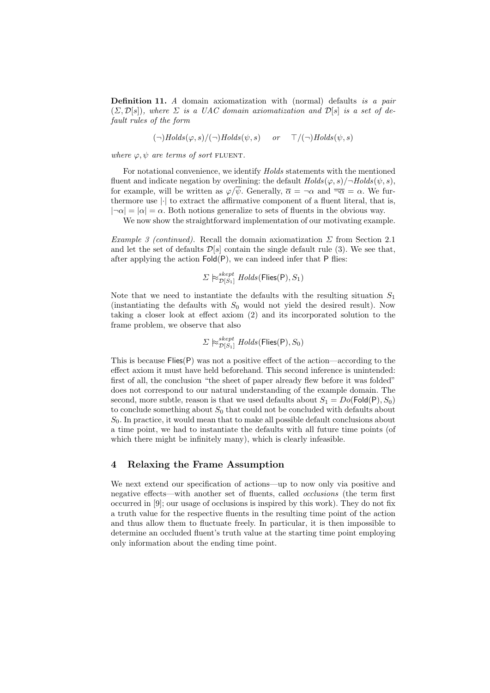Definition 11. A domain axiomatization with (normal) defaults is a pair  $(\Sigma, \mathcal{D}[s])$ , where  $\Sigma$  is a UAC domain axiomatization and  $\mathcal{D}[s]$  is a set of default rules of the form

 $(\neg) Holds(\varphi, s)/(\neg) Holds(\psi, s)$  or  $\top/(\neg) Holds(\psi, s)$ 

where  $\varphi, \psi$  are terms of sort FLUENT.

For notational convenience, we identify Holds statements with the mentioned fluent and indicate negation by overlining: the default  $Holds(\varphi, s)/\neg Holds(\psi, s),$ for example, will be written as  $\varphi/\overline{\psi}$ . Generally,  $\overline{\alpha} = \neg \alpha$  and  $\overline{\neg \alpha} = \alpha$ . We furthermore use  $|\cdot|$  to extract the affirmative component of a fluent literal, that is,  $|\neg \alpha| = |\alpha| = \alpha$ . Both notions generalize to sets of fluents in the obvious way.

We now show the straightforward implementation of our motivating example.

Example 3 (continued). Recall the domain axiomatization  $\Sigma$  from Section 2.1 and let the set of defaults  $\mathcal{D}[s]$  contain the single default rule (3). We see that, after applying the action  $\text{Fold}(P)$ , we can indeed infer that  $P$  flies:

$$
\Sigma \hspace{0.2em}\approx\hspace{-0.9em}\mid\hspace{0.58em} \mathcal{E}_{\mathcal{D}[S_1]}^{\textit{skept}} \textit{Holds}(\mathsf{Flies}(\mathsf{P}), S_1)
$$

Note that we need to instantiate the defaults with the resulting situation  $S_1$ (instantiating the defaults with  $S_0$  would not yield the desired result). Now taking a closer look at effect axiom (2) and its incorporated solution to the frame problem, we observe that also

$$
\Sigma \hspace{0.2em}\approx\hspace{-0.9em}\mid\hspace{0.58em} \mathcal{E}_{\mathcal{D}[S_1]}^{\textit{skept}} \textit{Holds}(\mathsf{Flies}(\mathsf{P}), S_0)
$$

This is because Flies(P) was not a positive effect of the action—according to the effect axiom it must have held beforehand. This second inference is unintended: first of all, the conclusion "the sheet of paper already flew before it was folded" does not correspond to our natural understanding of the example domain. The second, more subtle, reason is that we used defaults about  $S_1 = Do(Fold(P), S_0)$ to conclude something about  $S_0$  that could not be concluded with defaults about  $S_0$ . In practice, it would mean that to make all possible default conclusions about a time point, we had to instantiate the defaults with all future time points (of which there might be infinitely many), which is clearly infeasible.

### 4 Relaxing the Frame Assumption

We next extend our specification of actions—up to now only via positive and negative effects—with another set of fluents, called occlusions (the term first occurred in [9]; our usage of occlusions is inspired by this work). They do not fix a truth value for the respective fluents in the resulting time point of the action and thus allow them to fluctuate freely. In particular, it is then impossible to determine an occluded fluent's truth value at the starting time point employing only information about the ending time point.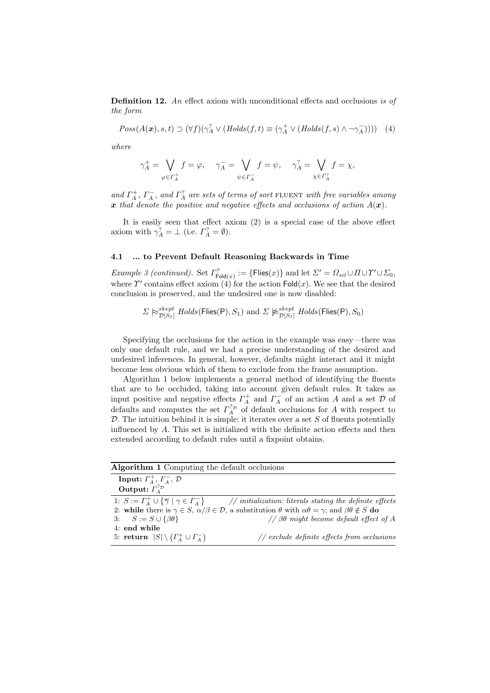Definition 12. An effect axiom with unconditional effects and occlusions is of the form

$$
Poss(A(\boldsymbol{x}), s, t) \supset (\forall f)(\gamma_A^? \vee (Holds(f, t) \equiv (\gamma_A^+ \vee (Holds(f, s) \wedge \neg \gamma_A^-)))) \quad (4)
$$

where

$$
\gamma_A^+=\bigvee_{\varphi\in\varGamma_A^+}f=\varphi,\quad \ \gamma_A^-=\bigvee_{\psi\in\varGamma_A^-}f=\psi,\quad \ \gamma_A^?=\bigvee_{\chi\in\varGamma_A^?}f=\chi,
$$

and  $\Gamma_A^+$ ,  $\Gamma_A^-$ , and  $\Gamma_A^?$  are sets of terms of sort FLUENT with free variables among x that denote the positive and negative effects and occlusions of action  $A(x)$ .

It is easily seen that effect axiom (2) is a special case of the above effect axiom with  $\gamma_A^? = \bot$  (i.e.  $\Gamma_A^? = \emptyset$ ).

### 4.1 ... to Prevent Default Reasoning Backwards in Time

Example 3 (continued). Set  $\Gamma_{\text{Fold}(x)}^? := \{\text{Flies}(x)\}\$ and let  $\Sigma' = \Omega_{sit} \cup \Pi \cup \Upsilon' \cup \Sigma_0$ , where  $\Upsilon'$  contains effect axiom (4) for the action  $\textsf{Fold}(x)$ . We see that the desired conclusion is preserved, and the undesired one is now disabled:

$$
\Sigma \not\approx_{\mathcal{D}[S_1]}^{skept} Holds(\text{Flies}(P), S_1)
$$
 and  $\Sigma \not\approx_{\mathcal{D}[S_1]}^{skept} Holds(\text{Flies}(P), S_0)$ 

Specifying the occlusions for the action in the example was easy—there was only one default rule, and we had a precise understanding of the desired and undesired inferences. In general, however, defaults might interact and it might become less obvious which of them to exclude from the frame assumption.

Algorithm 1 below implements a general method of identifying the fluents that are to be occluded, taking into account given default rules. It takes as input positive and negative effects  $\Gamma_A^+$  and  $\Gamma_A^-$  of an action A and a set  $\mathcal D$  of defaults and computes the set  $\Gamma_A^{?p}$  of default occlusions for A with respect to  $D$ . The intuition behind it is simple: it iterates over a set  $S$  of fluents potentially influenced by A. This set is initialized with the definite action effects and then extended according to default rules until a fixpoint obtains.

| Algorithm 1 Computing the default occlusions                                                                                                             |                                                                     |
|----------------------------------------------------------------------------------------------------------------------------------------------------------|---------------------------------------------------------------------|
| Input: $\Gamma_4^+$ , $\Gamma_4^-$ , $\mathcal{D}$                                                                                                       |                                                                     |
| Output: $\Gamma_A^{?D}$                                                                                                                                  |                                                                     |
| 1: $S := \Gamma_A^+ \cup \{ \overline{\gamma} \mid \gamma \in \Gamma_A^- \}$                                                                             | $\frac{1}{1}$ initialization: literals stating the definite effects |
| 2: while there is $\gamma \in S$ , $\alpha/\beta \in \mathcal{D}$ , a substitution $\theta$ with $\alpha\theta = \gamma$ ; and $\beta\theta \notin S$ do |                                                                     |
| 3: $S := S \cup {\beta \theta}$                                                                                                                          | $// \beta\theta$ might become default effect of A                   |
| 4: end while                                                                                                                                             |                                                                     |
| 5: return $ S  \setminus (\Gamma_A^+ \cup \Gamma_A^-)$                                                                                                   | $\frac{1}{\sqrt{2}}$ exclude definite effects from occlusions       |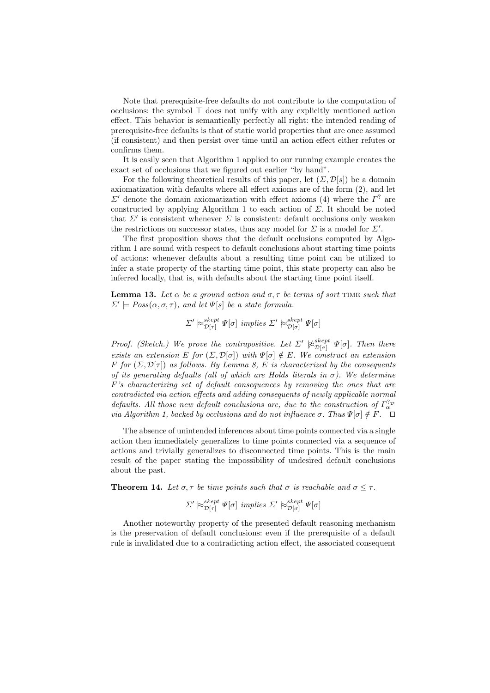Note that prerequisite-free defaults do not contribute to the computation of occlusions: the symbol  $\top$  does not unify with any explicitly mentioned action effect. This behavior is semantically perfectly all right: the intended reading of prerequisite-free defaults is that of static world properties that are once assumed (if consistent) and then persist over time until an action effect either refutes or confirms them.

It is easily seen that Algorithm 1 applied to our running example creates the exact set of occlusions that we figured out earlier "by hand".

For the following theoretical results of this paper, let  $(\Sigma, \mathcal{D}[s])$  be a domain axiomatization with defaults where all effect axioms are of the form (2), and let  $\Sigma'$  denote the domain axiomatization with effect axioms (4) where the  $\Gamma^?$  are constructed by applying Algorithm 1 to each action of  $\Sigma$ . It should be noted that  $\Sigma'$  is consistent whenever  $\Sigma$  is consistent: default occlusions only weaken the restrictions on successor states, thus any model for  $\Sigma$  is a model for  $\Sigma'$ .

The first proposition shows that the default occlusions computed by Algorithm 1 are sound with respect to default conclusions about starting time points of actions: whenever defaults about a resulting time point can be utilized to infer a state property of the starting time point, this state property can also be inferred locally, that is, with defaults about the starting time point itself.

**Lemma 13.** Let  $\alpha$  be a ground action and  $\sigma$ ,  $\tau$  be terms of sort TIME such that  $\Sigma' \models Poss(\alpha, \sigma, \tau)$ , and let  $\Psi[s]$  be a state formula.

$$
\Sigma' \hspace{2pt}\approx_{\mathcal{D}[\tau]}^{skept} \Psi[\sigma] \hspace{2pt} implies \hspace{2pt} \Sigma' \hspace{2pt}\approx_{\mathcal{D}[\sigma]}^{skept} \Psi[\sigma]
$$

Proof. (Sketch.) We prove the contrapositive. Let  $\Sigma' \not\approx_{\mathcal{D}[\sigma]}^{\text{skept}} \Psi[\sigma]$ . Then there exists an extension E for  $(\Sigma, \mathcal{D}[\sigma])$  with  $\Psi[\sigma] \notin E$ . We construct an extension F for  $(\Sigma, \mathcal{D}[\tau])$  as follows. By Lemma 8, E is characterized by the consequents of its generating defaults (all of which are Holds literals in  $\sigma$ ). We determine F's characterizing set of default consequences by removing the ones that are contradicted via action effects and adding consequents of newly applicable normal defaults. All those new default conclusions are, due to the construction of  $\Gamma_{\alpha}^{?p}$ via Algorithm 1, backed by occlusions and do not influence  $\sigma$ . Thus  $\Psi[\sigma] \notin F$ .  $\Box$ 

The absence of unintended inferences about time points connected via a single action then immediately generalizes to time points connected via a sequence of actions and trivially generalizes to disconnected time points. This is the main result of the paper stating the impossibility of undesired default conclusions about the past.

**Theorem 14.** Let  $\sigma, \tau$  be time points such that  $\sigma$  is reachable and  $\sigma \leq \tau$ .

$$
\Sigma' \Join_{\mathcal{D}[\tau]}^{skept} \Psi[\sigma] \implies \Sigma' \Join_{\mathcal{D}[\sigma]}^{skept} \Psi[\sigma]
$$

Another noteworthy property of the presented default reasoning mechanism is the preservation of default conclusions: even if the prerequisite of a default rule is invalidated due to a contradicting action effect, the associated consequent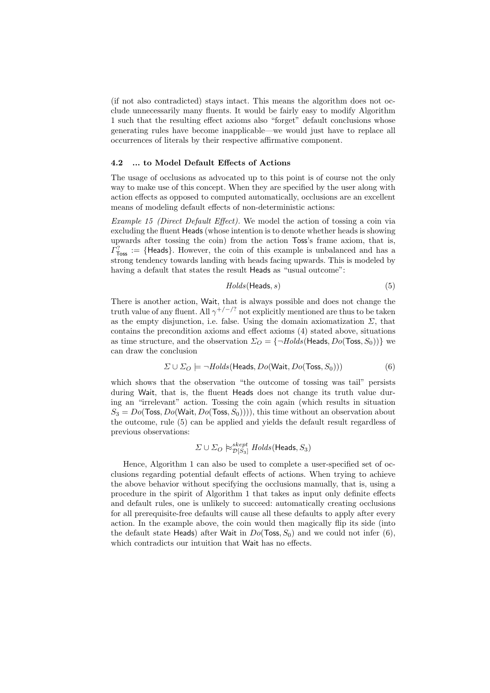(if not also contradicted) stays intact. This means the algorithm does not occlude unnecessarily many fluents. It would be fairly easy to modify Algorithm 1 such that the resulting effect axioms also "forget" default conclusions whose generating rules have become inapplicable—we would just have to replace all occurrences of literals by their respective affirmative component.

### 4.2 ... to Model Default Effects of Actions

The usage of occlusions as advocated up to this point is of course not the only way to make use of this concept. When they are specified by the user along with action effects as opposed to computed automatically, occlusions are an excellent means of modeling default effects of non-deterministic actions:

Example 15 (Direct Default Effect). We model the action of tossing a coin via excluding the fluent Heads (whose intention is to denote whether heads is showing upwards after tossing the coin) from the action Toss's frame axiom, that is,  $\Gamma^?$ <sub>Toss</sub> := {Heads}. However, the coin of this example is unbalanced and has a strong tendency towards landing with heads facing upwards. This is modeled by having a default that states the result Heads as "usual outcome":

$$
Holds(\text{Heads}, s) \tag{5}
$$

There is another action, Wait, that is always possible and does not change the truth value of any fluent. All  $\gamma^{+/-/?}$  not explicitly mentioned are thus to be taken as the empty disjunction, i.e. false. Using the domain axiomatization  $\Sigma$ , that contains the precondition axioms and effect axioms (4) stated above, situations as time structure, and the observation  $\Sigma_O = \{\neg Holds(Heads, Do(Toss, S_0))\}$  we can draw the conclusion

$$
\Sigma \cup \Sigma_O \models \neg \text{Holds}(\text{Heads}, Do(\text{Wait}, Do(\text{Toss}, S_0))) \tag{6}
$$

which shows that the observation "the outcome of tossing was tail" persists during Wait, that is, the fluent Heads does not change its truth value during an "irrelevant" action. Tossing the coin again (which results in situation  $S_3 = Do$ (Toss,  $Do$ (Wait,  $Do$ (Toss,  $S_0$ )))), this time without an observation about the outcome, rule (5) can be applied and yields the default result regardless of previous observations:

$$
\Sigma \cup \Sigma_O \hspace{2pt}\approx_{\mathcal{D}[S_3]}^{skept} \hspace{2pt}\text{Holds}(\mathsf{Heads},S_3)
$$

Hence, Algorithm 1 can also be used to complete a user-specified set of occlusions regarding potential default effects of actions. When trying to achieve the above behavior without specifying the occlusions manually, that is, using a procedure in the spirit of Algorithm 1 that takes as input only definite effects and default rules, one is unlikely to succeed: automatically creating occlusions for all prerequisite-free defaults will cause all these defaults to apply after every action. In the example above, the coin would then magically flip its side (into the default state Heads) after Wait in  $Do(Toss, S_0)$  and we could not infer (6), which contradicts our intuition that Wait has no effects.